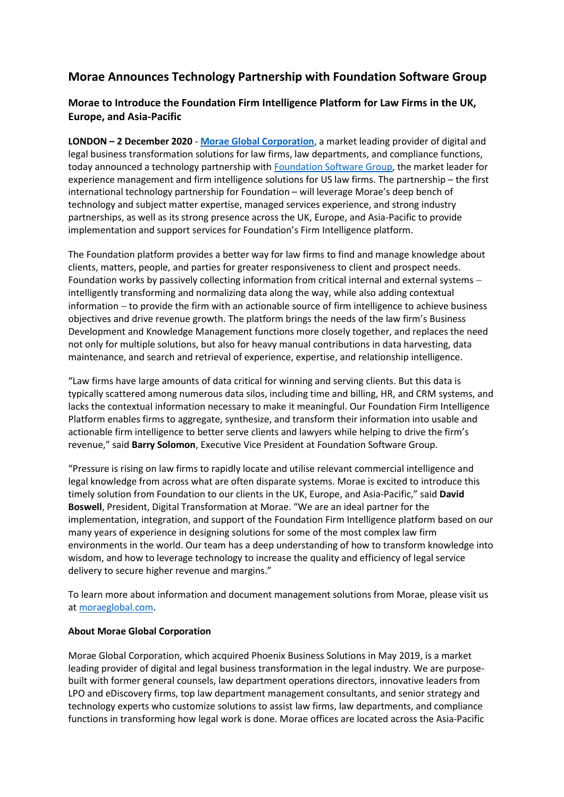## **Morae Announces Technology Partnership with Foundation Software Group**

## **Morae to Introduce the Foundation Firm Intelligence Platform for Law Firms in the UK, Europe, and Asia-Pacific**

**LONDON – 2 December 2020** - **[Morae Global Corporation](https://www.moraeglobal.com/)**, a market leading provider of digital and legal business transformation solutions for law firms, law departments, and compliance functions, today announced a technology partnership with [Foundation Software Group,](https://foundationsg.com/) the market leader for experience management and firm intelligence solutions for US law firms. The partnership – the first international technology partnership for Foundation – will leverage Morae's deep bench of technology and subject matter expertise, managed services experience, and strong industry partnerships, as well as its strong presence across the UK, Europe, and Asia-Pacific to provide implementation and support services for Foundation's Firm Intelligence platform.

The Foundation platform provides a better way for law firms to find and manage knowledge about clients, matters, people, and parties for greater responsiveness to client and prospect needs. Foundation works by passively collecting information from critical internal and external systems − intelligently transforming and normalizing data along the way, while also adding contextual information − to provide the firm with an actionable source of firm intelligence to achieve business objectives and drive revenue growth. The platform brings the needs of the law firm's Business Development and Knowledge Management functions more closely together, and replaces the need not only for multiple solutions, but also for heavy manual contributions in data harvesting, data maintenance, and search and retrieval of experience, expertise, and relationship intelligence.

"Law firms have large amounts of data critical for winning and serving clients. But this data is typically scattered among numerous data silos, including time and billing, HR, and CRM systems, and lacks the contextual information necessary to make it meaningful. Our Foundation Firm Intelligence Platform enables firms to aggregate, synthesize, and transform their information into usable and actionable firm intelligence to better serve clients and lawyers while helping to drive the firm's revenue," said **Barry Solomon**, Executive Vice President at Foundation Software Group.

"Pressure is rising on law firms to rapidly locate and utilise relevant commercial intelligence and legal knowledge from across what are often disparate systems. Morae is excited to introduce this timely solution from Foundation to our clients in the UK, Europe, and Asia-Pacific," said **David Boswell**, President, Digital Transformation at Morae. "We are an ideal partner for the implementation, integration, and support of the Foundation Firm Intelligence platform based on our many years of experience in designing solutions for some of the most complex law firm environments in the world. Our team has a deep understanding of how to transform knowledge into wisdom, and how to leverage technology to increase the quality and efficiency of legal service delivery to secure higher revenue and margins."

To learn more about information and document management solutions from Morae, please visit us a[t moraeglobal.com.](http://www.moraeglobal.com/)

## **About Morae Global Corporation**

Morae Global Corporation, which acquired Phoenix Business Solutions in May 2019, is a market leading provider of digital and legal business transformation in the legal industry. We are purposebuilt with former general counsels, law department operations directors, innovative leaders from LPO and eDiscovery firms, top law department management consultants, and senior strategy and technology experts who customize solutions to assist law firms, law departments, and compliance functions in transforming how legal work is done. Morae offices are located across the Asia-Pacific